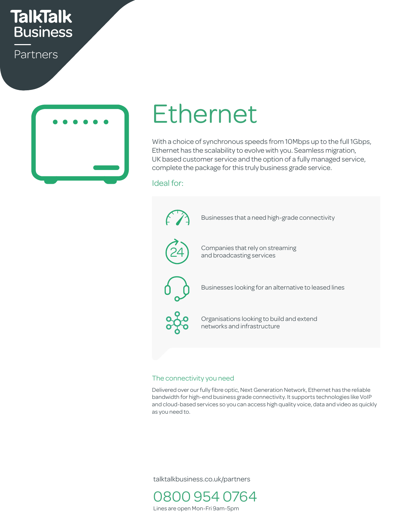# **TalkTalk Business**

Partners



# Ethernet  $h$

With a choice of synchronous speeds from 10Mbps up to the full 1Gbps, Ethernet has the scalability to evolve with you. Seamless migration, UK based customer service and the option of a fully managed service, complete the package for this truly business grade service.

#### Ideal for:

 $\begin{matrix} \uparrow \end{matrix}$  Businesses that a need high-grade connectivity  $\mathcal{A}_{\mathcal{N}}$  $\sim$ Companies that rely on streaming and broadcasting services Security No downtime Responding No maintenance 24 Businesses looking for an alternative to leased lines Organisations looking to build and extend networks and infrastructure Uptime UFO Settings Bluetooth Bluetooth Bluetooth Bluetooth Bluetooth Bluetooth Bluetooth Bluetooth Bluetooth Cost savings Call Centres Easy to set up Growing business Up to 4 users nes<br>
<sup>1</sup> remative to leased in les<br>experiences

#### The connectivity you need

Delivered over our fully fibre optic, Next Generation Network, Ethernet has the reliable bandwidth for high-end business grade connectivity. It supports technologies like VoIP and cloud-based services so you can access high quality voice, data and video as quickly as you need to.

talktalkbusiness.co.uk/partners